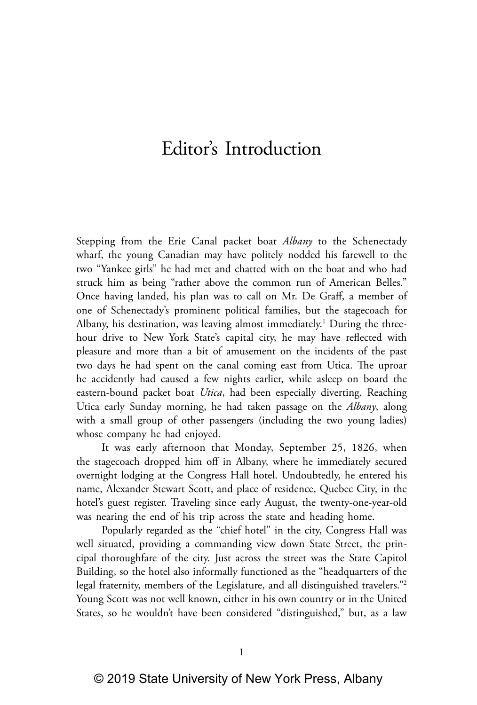# Editor's Introduction

Stepping from the Erie Canal packet boat *Albany* to the Schenectady wharf, the young Canadian may have politely nodded his farewell to the two "Yankee girls" he had met and chatted with on the boat and who had struck him as being "rather above the common run of American Belles." Once having landed, his plan was to call on Mr. De Graff, a member of one of Schenectady's prominent political families, but the stagecoach for Albany, his destination, was leaving almost immediately.<sup>1</sup> During the threehour drive to New York State's capital city, he may have reflected with pleasure and more than a bit of amusement on the incidents of the past two days he had spent on the canal coming east from Utica. The uproar he accidently had caused a few nights earlier, while asleep on board the eastern-bound packet boat *Utica*, had been especially diverting. Reaching Utica early Sunday morning, he had taken passage on the *Albany*, along with a small group of other passengers (including the two young ladies) whose company he had enjoyed.

It was early afternoon that Monday, September 25, 1826, when the stagecoach dropped him off in Albany, where he immediately secured overnight lodging at the Congress Hall hotel. Undoubtedly, he entered his name, Alexander Stewart Scott, and place of residence, Quebec City, in the hotel's guest register. Traveling since early August, the twenty-one-year-old was nearing the end of his trip across the state and heading home.

Popularly regarded as the "chief hotel" in the city, Congress Hall was well situated, providing a commanding view down State Street, the principal thoroughfare of the city. Just across the street was the State Capitol Building, so the hotel also informally functioned as the "headquarters of the legal fraternity, members of the Legislature, and all distinguished travelers."2 Young Scott was not well known, either in his own country or in the United States, so he wouldn't have been considered "distinguished," but, as a law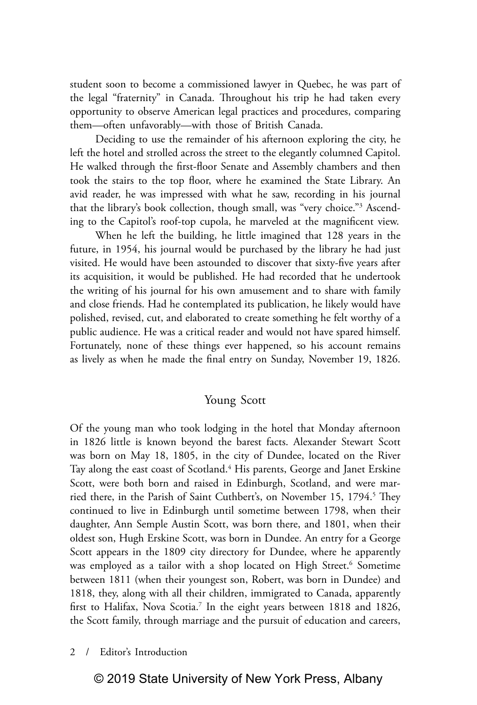student soon to become a commissioned lawyer in Quebec, he was part of the legal "fraternity" in Canada. Throughout his trip he had taken every opportunity to observe American legal practices and procedures, comparing them—often unfavorably—with those of British Canada.

Deciding to use the remainder of his afternoon exploring the city, he left the hotel and strolled across the street to the elegantly columned Capitol. He walked through the first-floor Senate and Assembly chambers and then took the stairs to the top floor, where he examined the State Library. An avid reader, he was impressed with what he saw, recording in his journal that the library's book collection, though small, was "very choice."3 Ascending to the Capitol's roof-top cupola, he marveled at the magnificent view.

When he left the building, he little imagined that 128 years in the future, in 1954, his journal would be purchased by the library he had just visited. He would have been astounded to discover that sixty-five years after its acquisition, it would be published. He had recorded that he undertook the writing of his journal for his own amusement and to share with family and close friends. Had he contemplated its publication, he likely would have polished, revised, cut, and elaborated to create something he felt worthy of a public audience. He was a critical reader and would not have spared himself. Fortunately, none of these things ever happened, so his account remains as lively as when he made the final entry on Sunday, November 19, 1826.

# Young Scott

Of the young man who took lodging in the hotel that Monday afternoon in 1826 little is known beyond the barest facts. Alexander Stewart Scott was born on May 18, 1805, in the city of Dundee, located on the River Tay along the east coast of Scotland.<sup>4</sup> His parents, George and Janet Erskine Scott, were both born and raised in Edinburgh, Scotland, and were married there, in the Parish of Saint Cuthbert's, on November 15, 1794.<sup>5</sup> They continued to live in Edinburgh until sometime between 1798, when their daughter, Ann Semple Austin Scott, was born there, and 1801, when their oldest son, Hugh Erskine Scott, was born in Dundee. An entry for a George Scott appears in the 1809 city directory for Dundee, where he apparently was employed as a tailor with a shop located on High Street.<sup>6</sup> Sometime between 1811 (when their youngest son, Robert, was born in Dundee) and 1818, they, along with all their children, immigrated to Canada, apparently first to Halifax, Nova Scotia.<sup>7</sup> In the eight years between 1818 and 1826, the Scott family, through marriage and the pursuit of education and careers,

## 2 / Editor's Introduction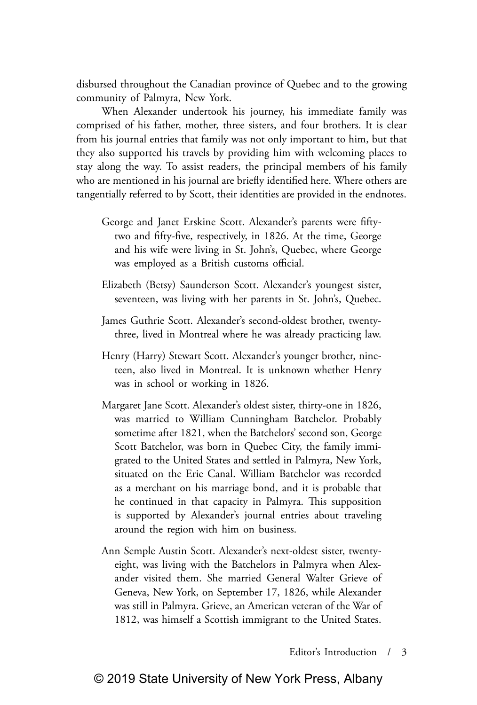disbursed throughout the Canadian province of Quebec and to the growing community of Palmyra, New York.

When Alexander undertook his journey, his immediate family was comprised of his father, mother, three sisters, and four brothers. It is clear from his journal entries that family was not only important to him, but that they also supported his travels by providing him with welcoming places to stay along the way. To assist readers, the principal members of his family who are mentioned in his journal are briefly identified here. Where others are tangentially referred to by Scott, their identities are provided in the endnotes.

- George and Janet Erskine Scott. Alexander's parents were fiftytwo and fifty-five, respectively, in 1826. At the time, George and his wife were living in St. John's, Quebec, where George was employed as a British customs official.
- Elizabeth (Betsy) Saunderson Scott. Alexander's youngest sister, seventeen, was living with her parents in St. John's, Quebec.
- James Guthrie Scott. Alexander's second-oldest brother, twentythree, lived in Montreal where he was already practicing law.
- Henry (Harry) Stewart Scott. Alexander's younger brother, nineteen, also lived in Montreal. It is unknown whether Henry was in school or working in 1826.
- Margaret Jane Scott. Alexander's oldest sister, thirty-one in 1826, was married to William Cunningham Batchelor. Probably sometime after 1821, when the Batchelors' second son, George Scott Batchelor, was born in Quebec City, the family immigrated to the United States and settled in Palmyra, New York, situated on the Erie Canal. William Batchelor was recorded as a merchant on his marriage bond, and it is probable that he continued in that capacity in Palmyra. This supposition is supported by Alexander's journal entries about traveling around the region with him on business.
- Ann Semple Austin Scott. Alexander's next-oldest sister, twentyeight, was living with the Batchelors in Palmyra when Alexander visited them. She married General Walter Grieve of Geneva, New York, on September 17, 1826, while Alexander was still in Palmyra. Grieve, an American veteran of the War of 1812, was himself a Scottish immigrant to the United States.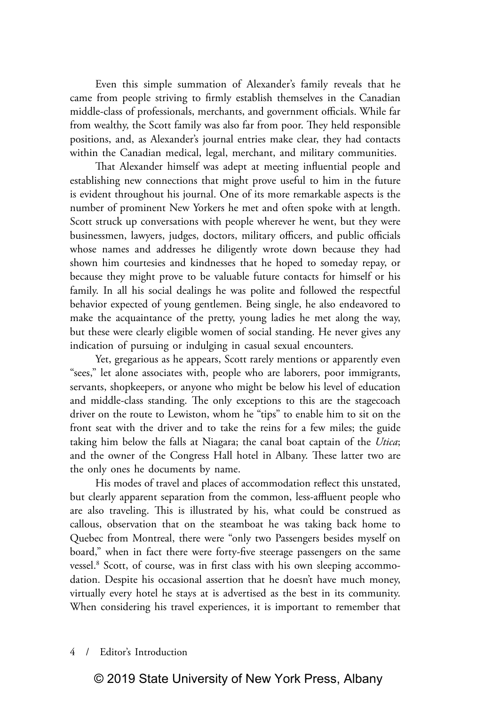Even this simple summation of Alexander's family reveals that he came from people striving to firmly establish themselves in the Canadian middle-class of professionals, merchants, and government officials. While far from wealthy, the Scott family was also far from poor. They held responsible positions, and, as Alexander's journal entries make clear, they had contacts within the Canadian medical, legal, merchant, and military communities.

That Alexander himself was adept at meeting influential people and establishing new connections that might prove useful to him in the future is evident throughout his journal. One of its more remarkable aspects is the number of prominent New Yorkers he met and often spoke with at length. Scott struck up conversations with people wherever he went, but they were businessmen, lawyers, judges, doctors, military officers, and public officials whose names and addresses he diligently wrote down because they had shown him courtesies and kindnesses that he hoped to someday repay, or because they might prove to be valuable future contacts for himself or his family. In all his social dealings he was polite and followed the respectful behavior expected of young gentlemen. Being single, he also endeavored to make the acquaintance of the pretty, young ladies he met along the way, but these were clearly eligible women of social standing. He never gives any indication of pursuing or indulging in casual sexual encounters.

Yet, gregarious as he appears, Scott rarely mentions or apparently even "sees," let alone associates with, people who are laborers, poor immigrants, servants, shopkeepers, or anyone who might be below his level of education and middle-class standing. The only exceptions to this are the stagecoach driver on the route to Lewiston, whom he "tips" to enable him to sit on the front seat with the driver and to take the reins for a few miles; the guide taking him below the falls at Niagara; the canal boat captain of the *Utica*; and the owner of the Congress Hall hotel in Albany. These latter two are the only ones he documents by name.

His modes of travel and places of accommodation reflect this unstated, but clearly apparent separation from the common, less-affluent people who are also traveling. This is illustrated by his, what could be construed as callous, observation that on the steamboat he was taking back home to Quebec from Montreal, there were "only two Passengers besides myself on board," when in fact there were forty-five steerage passengers on the same vessel.<sup>8</sup> Scott, of course, was in first class with his own sleeping accommodation. Despite his occasional assertion that he doesn't have much money, virtually every hotel he stays at is advertised as the best in its community. When considering his travel experiences, it is important to remember that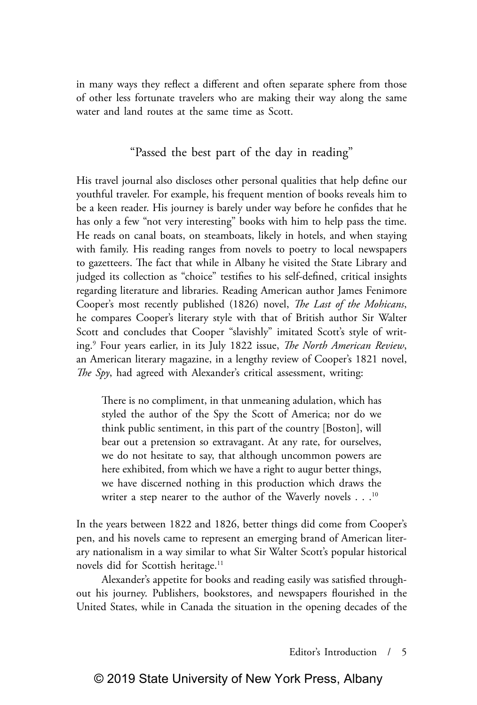in many ways they reflect a different and often separate sphere from those of other less fortunate travelers who are making their way along the same water and land routes at the same time as Scott.

# "Passed the best part of the day in reading"

His travel journal also discloses other personal qualities that help define our youthful traveler. For example, his frequent mention of books reveals him to be a keen reader. His journey is barely under way before he confides that he has only a few "not very interesting" books with him to help pass the time. He reads on canal boats, on steamboats, likely in hotels, and when staying with family. His reading ranges from novels to poetry to local newspapers to gazetteers. The fact that while in Albany he visited the State Library and judged its collection as "choice" testifies to his self-defined, critical insights regarding literature and libraries. Reading American author James Fenimore Cooper's most recently published (1826) novel, *The Last of the Mohicans*, he compares Cooper's literary style with that of British author Sir Walter Scott and concludes that Cooper "slavishly" imitated Scott's style of writing.9 Four years earlier, in its July 1822 issue, *The North American Review*, an American literary magazine, in a lengthy review of Cooper's 1821 novel, *The Spy*, had agreed with Alexander's critical assessment, writing:

There is no compliment, in that unmeaning adulation, which has styled the author of the Spy the Scott of America; nor do we think public sentiment, in this part of the country [Boston], will bear out a pretension so extravagant. At any rate, for ourselves, we do not hesitate to say, that although uncommon powers are here exhibited, from which we have a right to augur better things, we have discerned nothing in this production which draws the writer a step nearer to the author of the Waverly novels . . .<sup>10</sup>

In the years between 1822 and 1826, better things did come from Cooper's pen, and his novels came to represent an emerging brand of American literary nationalism in a way similar to what Sir Walter Scott's popular historical novels did for Scottish heritage.<sup>11</sup>

Alexander's appetite for books and reading easily was satisfied throughout his journey. Publishers, bookstores, and newspapers flourished in the United States, while in Canada the situation in the opening decades of the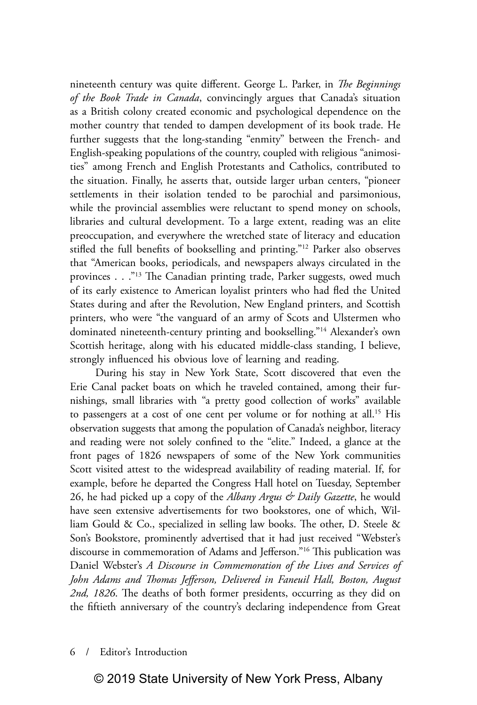nineteenth century was quite different. George L. Parker, in *The Beginnings of the Book Trade in Canada*, convincingly argues that Canada's situation as a British colony created economic and psychological dependence on the mother country that tended to dampen development of its book trade. He further suggests that the long-standing "enmity" between the French- and English-speaking populations of the country, coupled with religious "animosities" among French and English Protestants and Catholics, contributed to the situation. Finally, he asserts that, outside larger urban centers, "pioneer settlements in their isolation tended to be parochial and parsimonious, while the provincial assemblies were reluctant to spend money on schools, libraries and cultural development. To a large extent, reading was an elite preoccupation, and everywhere the wretched state of literacy and education stifled the full benefits of bookselling and printing."12 Parker also observes that "American books, periodicals, and newspapers always circulated in the provinces . . ."<sup>13</sup> The Canadian printing trade, Parker suggests, owed much of its early existence to American loyalist printers who had fled the United States during and after the Revolution, New England printers, and Scottish printers, who were "the vanguard of an army of Scots and Ulstermen who dominated nineteenth-century printing and bookselling."14 Alexander's own Scottish heritage, along with his educated middle-class standing, I believe, strongly influenced his obvious love of learning and reading.

During his stay in New York State, Scott discovered that even the Erie Canal packet boats on which he traveled contained, among their furnishings, small libraries with "a pretty good collection of works" available to passengers at a cost of one cent per volume or for nothing at all.<sup>15</sup> His observation suggests that among the population of Canada's neighbor, literacy and reading were not solely confined to the "elite." Indeed, a glance at the front pages of 1826 newspapers of some of the New York communities Scott visited attest to the widespread availability of reading material. If, for example, before he departed the Congress Hall hotel on Tuesday, September 26, he had picked up a copy of the *Albany Argus & Daily Gazette*, he would have seen extensive advertisements for two bookstores, one of which, William Gould & Co., specialized in selling law books. The other, D. Steele & Son's Bookstore, prominently advertised that it had just received "Webster's discourse in commemoration of Adams and Jefferson."16 This publication was Daniel Webster's *A Discourse in Commemoration of the Lives and Services of John Adams and Thomas Jefferson, Delivered in Faneuil Hall, Boston, August 2nd, 1826*. The deaths of both former presidents, occurring as they did on the fiftieth anniversary of the country's declaring independence from Great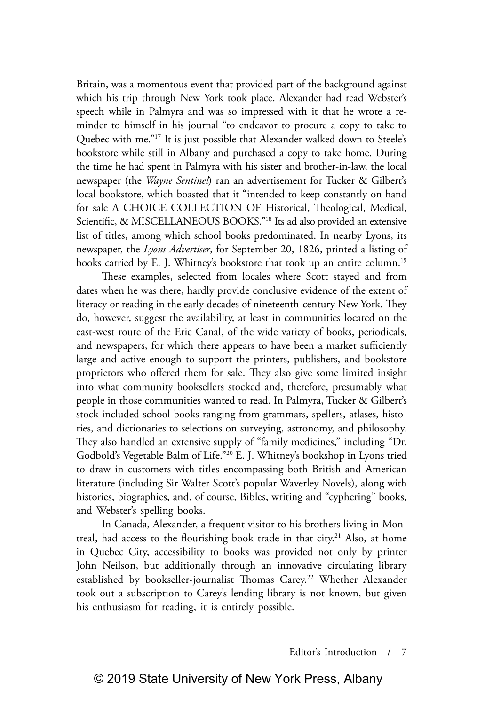Britain, was a momentous event that provided part of the background against which his trip through New York took place. Alexander had read Webster's speech while in Palmyra and was so impressed with it that he wrote a reminder to himself in his journal "to endeavor to procure a copy to take to Quebec with me."17 It is just possible that Alexander walked down to Steele's bookstore while still in Albany and purchased a copy to take home. During the time he had spent in Palmyra with his sister and brother-in-law, the local newspaper (the *Wayne Sentinel*) ran an advertisement for Tucker & Gilbert's local bookstore, which boasted that it "intended to keep constantly on hand for sale A CHOICE COLLECTION OF Historical, Theological, Medical, Scientific, & MISCELLANEOUS BOOKS."18 Its ad also provided an extensive list of titles, among which school books predominated. In nearby Lyons, its newspaper, the *Lyons Advertiser*, for September 20, 1826, printed a listing of books carried by E. J. Whitney's bookstore that took up an entire column.<sup>19</sup>

These examples, selected from locales where Scott stayed and from dates when he was there, hardly provide conclusive evidence of the extent of literacy or reading in the early decades of nineteenth-century New York. They do, however, suggest the availability, at least in communities located on the east-west route of the Erie Canal, of the wide variety of books, periodicals, and newspapers, for which there appears to have been a market sufficiently large and active enough to support the printers, publishers, and bookstore proprietors who offered them for sale. They also give some limited insight into what community booksellers stocked and, therefore, presumably what people in those communities wanted to read. In Palmyra, Tucker & Gilbert's stock included school books ranging from grammars, spellers, atlases, histories, and dictionaries to selections on surveying, astronomy, and philosophy. They also handled an extensive supply of "family medicines," including "Dr. Godbold's Vegetable Balm of Life."20 E. J. Whitney's bookshop in Lyons tried to draw in customers with titles encompassing both British and American literature (including Sir Walter Scott's popular Waverley Novels), along with histories, biographies, and, of course, Bibles, writing and "cyphering" books, and Webster's spelling books.

In Canada, Alexander, a frequent visitor to his brothers living in Montreal, had access to the flourishing book trade in that city.<sup>21</sup> Also, at home in Quebec City, accessibility to books was provided not only by printer John Neilson, but additionally through an innovative circulating library established by bookseller-journalist Thomas Carey.<sup>22</sup> Whether Alexander took out a subscription to Carey's lending library is not known, but given his enthusiasm for reading, it is entirely possible.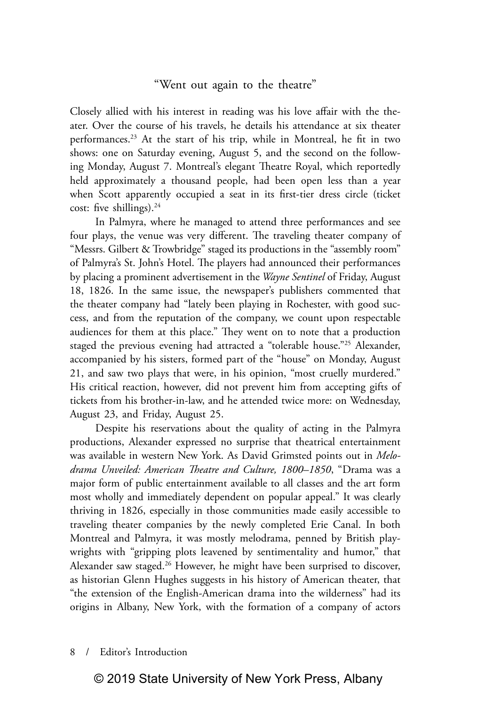# "Went out again to the theatre"

Closely allied with his interest in reading was his love affair with the theater. Over the course of his travels, he details his attendance at six theater performances.23 At the start of his trip, while in Montreal, he fit in two shows: one on Saturday evening, August 5, and the second on the following Monday, August 7. Montreal's elegant Theatre Royal, which reportedly held approximately a thousand people, had been open less than a year when Scott apparently occupied a seat in its first-tier dress circle (ticket cost: five shillings). $24$ 

In Palmyra, where he managed to attend three performances and see four plays, the venue was very different. The traveling theater company of "Messrs. Gilbert & Trowbridge" staged its productions in the "assembly room" of Palmyra's St. John's Hotel. The players had announced their performances by placing a prominent advertisement in the *Wayne Sentinel* of Friday, August 18, 1826. In the same issue, the newspaper's publishers commented that the theater company had "lately been playing in Rochester, with good success, and from the reputation of the company, we count upon respectable audiences for them at this place." They went on to note that a production staged the previous evening had attracted a "tolerable house."<sup>25</sup> Alexander, accompanied by his sisters, formed part of the "house" on Monday, August 21, and saw two plays that were, in his opinion, "most cruelly murdered." His critical reaction, however, did not prevent him from accepting gifts of tickets from his brother-in-law, and he attended twice more: on Wednesday, August 23, and Friday, August 25.

Despite his reservations about the quality of acting in the Palmyra productions, Alexander expressed no surprise that theatrical entertainment was available in western New York. As David Grimsted points out in *Melodrama Unveiled: American Theatre and Culture, 1800–1850*, "Drama was a major form of public entertainment available to all classes and the art form most wholly and immediately dependent on popular appeal." It was clearly thriving in 1826, especially in those communities made easily accessible to traveling theater companies by the newly completed Erie Canal. In both Montreal and Palmyra, it was mostly melodrama, penned by British playwrights with "gripping plots leavened by sentimentality and humor," that Alexander saw staged.<sup>26</sup> However, he might have been surprised to discover, as historian Glenn Hughes suggests in his history of American theater, that "the extension of the English-American drama into the wilderness" had its origins in Albany, New York, with the formation of a company of actors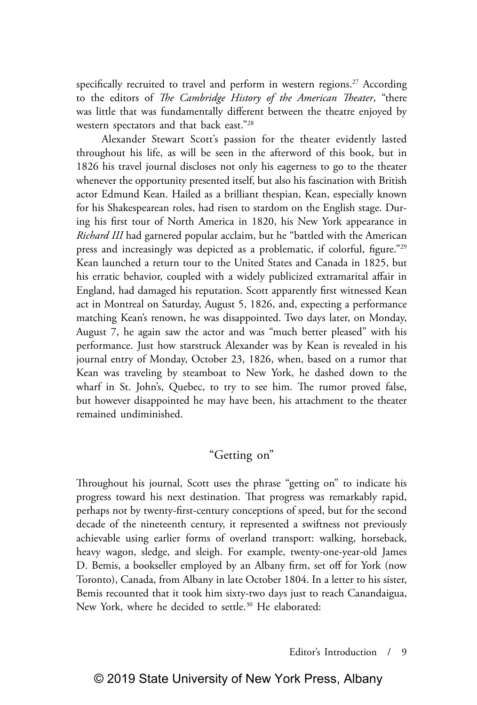specifically recruited to travel and perform in western regions.<sup>27</sup> According to the editors of *The Cambridge History of the American Theater*, "there was little that was fundamentally different between the theatre enjoyed by western spectators and that back east."28

Alexander Stewart Scott's passion for the theater evidently lasted throughout his life, as will be seen in the afterword of this book, but in 1826 his travel journal discloses not only his eagerness to go to the theater whenever the opportunity presented itself, but also his fascination with British actor Edmund Kean. Hailed as a brilliant thespian, Kean, especially known for his Shakespearean roles, had risen to stardom on the English stage. During his first tour of North America in 1820, his New York appearance in *Richard III* had garnered popular acclaim, but he "battled with the American press and increasingly was depicted as a problematic, if colorful, figure."29 Kean launched a return tour to the United States and Canada in 1825, but his erratic behavior, coupled with a widely publicized extramarital affair in England, had damaged his reputation. Scott apparently first witnessed Kean act in Montreal on Saturday, August 5, 1826, and, expecting a performance matching Kean's renown, he was disappointed. Two days later, on Monday, August 7, he again saw the actor and was "much better pleased" with his performance. Just how starstruck Alexander was by Kean is revealed in his journal entry of Monday, October 23, 1826, when, based on a rumor that Kean was traveling by steamboat to New York, he dashed down to the wharf in St. John's, Quebec, to try to see him. The rumor proved false, but however disappointed he may have been, his attachment to the theater remained undiminished.

# "Getting on"

Throughout his journal, Scott uses the phrase "getting on" to indicate his progress toward his next destination. That progress was remarkably rapid, perhaps not by twenty-first-century conceptions of speed, but for the second decade of the nineteenth century, it represented a swiftness not previously achievable using earlier forms of overland transport: walking, horseback, heavy wagon, sledge, and sleigh. For example, twenty-one-year-old James D. Bemis, a bookseller employed by an Albany firm, set off for York (now Toronto), Canada, from Albany in late October 1804. In a letter to his sister, Bemis recounted that it took him sixty-two days just to reach Canandaigua, New York, where he decided to settle.<sup>30</sup> He elaborated: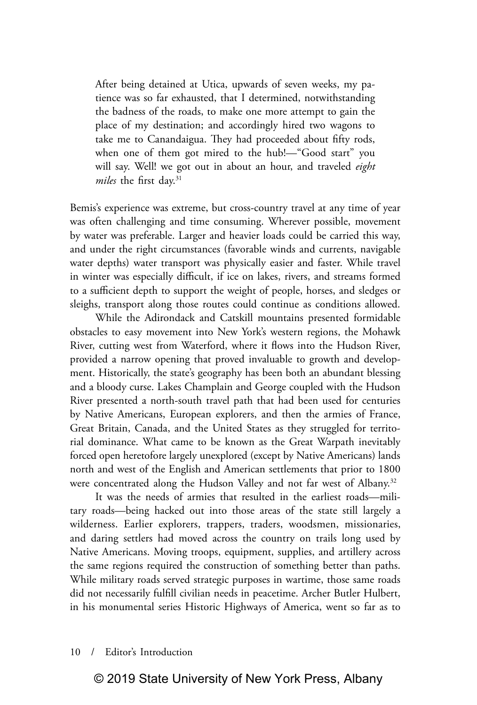After being detained at Utica, upwards of seven weeks, my patience was so far exhausted, that I determined, notwithstanding the badness of the roads, to make one more attempt to gain the place of my destination; and accordingly hired two wagons to take me to Canandaigua. They had proceeded about fifty rods, when one of them got mired to the hub!—"Good start" you will say. Well! we got out in about an hour, and traveled *eight*  miles the first day.<sup>31</sup>

Bemis's experience was extreme, but cross-country travel at any time of year was often challenging and time consuming. Wherever possible, movement by water was preferable. Larger and heavier loads could be carried this way, and under the right circumstances (favorable winds and currents, navigable water depths) water transport was physically easier and faster. While travel in winter was especially difficult, if ice on lakes, rivers, and streams formed to a sufficient depth to support the weight of people, horses, and sledges or sleighs, transport along those routes could continue as conditions allowed.

While the Adirondack and Catskill mountains presented formidable obstacles to easy movement into New York's western regions, the Mohawk River, cutting west from Waterford, where it flows into the Hudson River, provided a narrow opening that proved invaluable to growth and development. Historically, the state's geography has been both an abundant blessing and a bloody curse. Lakes Champlain and George coupled with the Hudson River presented a north-south travel path that had been used for centuries by Native Americans, European explorers, and then the armies of France, Great Britain, Canada, and the United States as they struggled for territorial dominance. What came to be known as the Great Warpath inevitably forced open heretofore largely unexplored (except by Native Americans) lands north and west of the English and American settlements that prior to 1800 were concentrated along the Hudson Valley and not far west of Albany.<sup>32</sup>

It was the needs of armies that resulted in the earliest roads—military roads—being hacked out into those areas of the state still largely a wilderness. Earlier explorers, trappers, traders, woodsmen, missionaries, and daring settlers had moved across the country on trails long used by Native Americans. Moving troops, equipment, supplies, and artillery across the same regions required the construction of something better than paths. While military roads served strategic purposes in wartime, those same roads did not necessarily fulfill civilian needs in peacetime. Archer Butler Hulbert, in his monumental series Historic Highways of America, went so far as to

## 10 / Editor's Introduction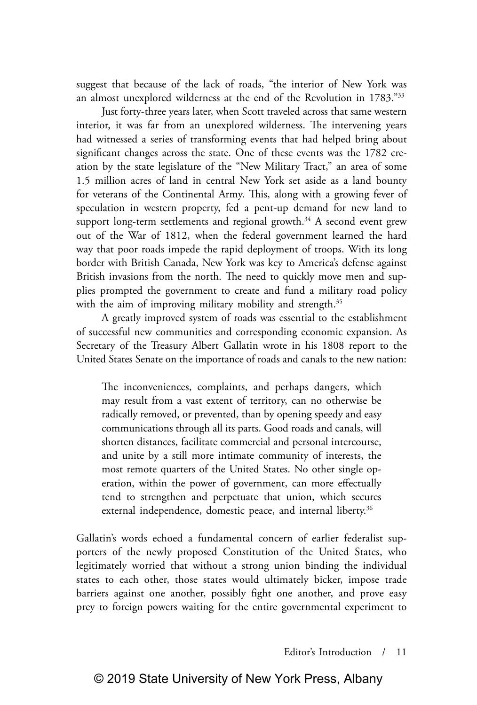suggest that because of the lack of roads, "the interior of New York was an almost unexplored wilderness at the end of the Revolution in 1783."33

Just forty-three years later, when Scott traveled across that same western interior, it was far from an unexplored wilderness. The intervening years had witnessed a series of transforming events that had helped bring about significant changes across the state. One of these events was the 1782 creation by the state legislature of the "New Military Tract," an area of some 1.5 million acres of land in central New York set aside as a land bounty for veterans of the Continental Army. This, along with a growing fever of speculation in western property, fed a pent-up demand for new land to support long-term settlements and regional growth. $34$  A second event grew out of the War of 1812, when the federal government learned the hard way that poor roads impede the rapid deployment of troops. With its long border with British Canada, New York was key to America's defense against British invasions from the north. The need to quickly move men and supplies prompted the government to create and fund a military road policy with the aim of improving military mobility and strength.<sup>35</sup>

A greatly improved system of roads was essential to the establishment of successful new communities and corresponding economic expansion. As Secretary of the Treasury Albert Gallatin wrote in his 1808 report to the United States Senate on the importance of roads and canals to the new nation:

The inconveniences, complaints, and perhaps dangers, which may result from a vast extent of territory, can no otherwise be radically removed, or prevented, than by opening speedy and easy communications through all its parts. Good roads and canals, will shorten distances, facilitate commercial and personal intercourse, and unite by a still more intimate community of interests, the most remote quarters of the United States. No other single operation, within the power of government, can more effectually tend to strengthen and perpetuate that union, which secures external independence, domestic peace, and internal liberty.<sup>36</sup>

Gallatin's words echoed a fundamental concern of earlier federalist supporters of the newly proposed Constitution of the United States, who legitimately worried that without a strong union binding the individual states to each other, those states would ultimately bicker, impose trade barriers against one another, possibly fight one another, and prove easy prey to foreign powers waiting for the entire governmental experiment to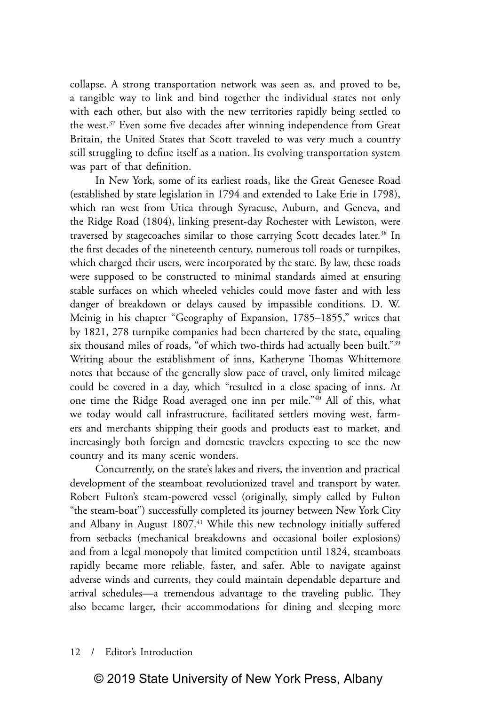collapse. A strong transportation network was seen as, and proved to be, a tangible way to link and bind together the individual states not only with each other, but also with the new territories rapidly being settled to the west.<sup>37</sup> Even some five decades after winning independence from Great Britain, the United States that Scott traveled to was very much a country still struggling to define itself as a nation. Its evolving transportation system was part of that definition.

In New York, some of its earliest roads, like the Great Genesee Road (established by state legislation in 1794 and extended to Lake Erie in 1798), which ran west from Utica through Syracuse, Auburn, and Geneva, and the Ridge Road (1804), linking present-day Rochester with Lewiston, were traversed by stagecoaches similar to those carrying Scott decades later.<sup>38</sup> In the first decades of the nineteenth century, numerous toll roads or turnpikes, which charged their users, were incorporated by the state. By law, these roads were supposed to be constructed to minimal standards aimed at ensuring stable surfaces on which wheeled vehicles could move faster and with less danger of breakdown or delays caused by impassible conditions. D. W. Meinig in his chapter "Geography of Expansion, 1785–1855," writes that by 1821, 278 turnpike companies had been chartered by the state, equaling six thousand miles of roads, "of which two-thirds had actually been built."<sup>39</sup> Writing about the establishment of inns, Katheryne Thomas Whittemore notes that because of the generally slow pace of travel, only limited mileage could be covered in a day, which "resulted in a close spacing of inns. At one time the Ridge Road averaged one inn per mile."40 All of this, what we today would call infrastructure, facilitated settlers moving west, farmers and merchants shipping their goods and products east to market, and increasingly both foreign and domestic travelers expecting to see the new country and its many scenic wonders.

Concurrently, on the state's lakes and rivers, the invention and practical development of the steamboat revolutionized travel and transport by water. Robert Fulton's steam-powered vessel (originally, simply called by Fulton "the steam-boat") successfully completed its journey between New York City and Albany in August 1807.<sup>41</sup> While this new technology initially suffered from setbacks (mechanical breakdowns and occasional boiler explosions) and from a legal monopoly that limited competition until 1824, steamboats rapidly became more reliable, faster, and safer. Able to navigate against adverse winds and currents, they could maintain dependable departure and arrival schedules—a tremendous advantage to the traveling public. They also became larger, their accommodations for dining and sleeping more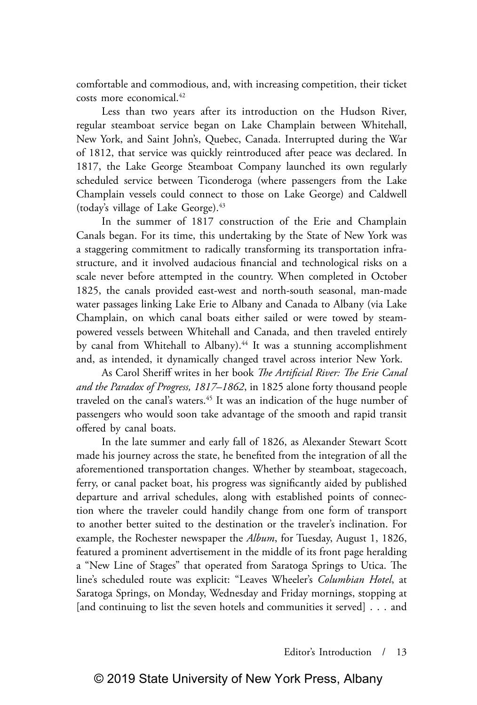comfortable and commodious, and, with increasing competition, their ticket costs more economical.42

Less than two years after its introduction on the Hudson River, regular steamboat service began on Lake Champlain between Whitehall, New York, and Saint John's, Quebec, Canada. Interrupted during the War of 1812, that service was quickly reintroduced after peace was declared. In 1817, the Lake George Steamboat Company launched its own regularly scheduled service between Ticonderoga (where passengers from the Lake Champlain vessels could connect to those on Lake George) and Caldwell (today's village of Lake George).43

In the summer of 1817 construction of the Erie and Champlain Canals began. For its time, this undertaking by the State of New York was a staggering commitment to radically transforming its transportation infrastructure, and it involved audacious financial and technological risks on a scale never before attempted in the country. When completed in October 1825, the canals provided east-west and north-south seasonal, man-made water passages linking Lake Erie to Albany and Canada to Albany (via Lake Champlain, on which canal boats either sailed or were towed by steampowered vessels between Whitehall and Canada, and then traveled entirely by canal from Whitehall to Albany).<sup>44</sup> It was a stunning accomplishment and, as intended, it dynamically changed travel across interior New York.

As Carol Sheriff writes in her book *The Artificial River: The Erie Canal and the Paradox of Progress, 1817–1862*, in 1825 alone forty thousand people traveled on the canal's waters.45 It was an indication of the huge number of passengers who would soon take advantage of the smooth and rapid transit offered by canal boats.

In the late summer and early fall of 1826, as Alexander Stewart Scott made his journey across the state, he benefited from the integration of all the aforementioned transportation changes. Whether by steamboat, stagecoach, ferry, or canal packet boat, his progress was significantly aided by published departure and arrival schedules, along with established points of connection where the traveler could handily change from one form of transport to another better suited to the destination or the traveler's inclination. For example, the Rochester newspaper the *Album*, for Tuesday, August 1, 1826, featured a prominent advertisement in the middle of its front page heralding a "New Line of Stages" that operated from Saratoga Springs to Utica. The line's scheduled route was explicit: "Leaves Wheeler's *Columbian Hotel*, at Saratoga Springs, on Monday, Wednesday and Friday mornings, stopping at [and continuing to list the seven hotels and communities it served] . . . and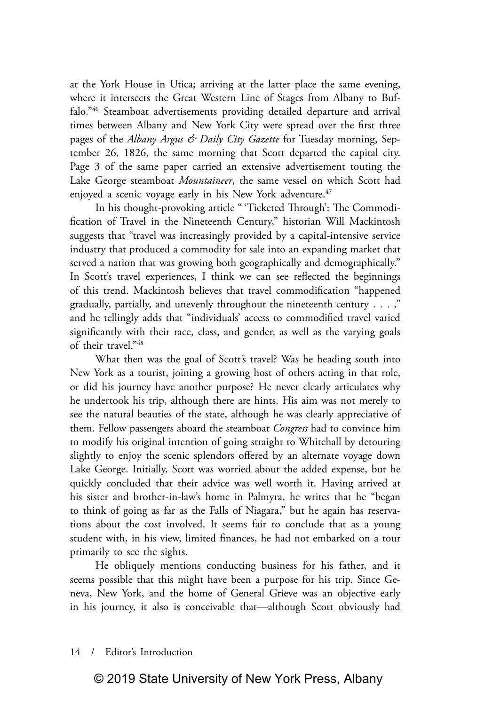at the York House in Utica; arriving at the latter place the same evening, where it intersects the Great Western Line of Stages from Albany to Buffalo."46 Steamboat advertisements providing detailed departure and arrival times between Albany and New York City were spread over the first three pages of the *Albany Argus & Daily City Gazette* for Tuesday morning, September 26, 1826, the same morning that Scott departed the capital city. Page 3 of the same paper carried an extensive advertisement touting the Lake George steamboat *Mountaineer*, the same vessel on which Scott had enjoyed a scenic voyage early in his New York adventure.<sup>47</sup>

In his thought-provoking article " 'Ticketed Through': The Commodification of Travel in the Nineteenth Century," historian Will Mackintosh suggests that "travel was increasingly provided by a capital-intensive service industry that produced a commodity for sale into an expanding market that served a nation that was growing both geographically and demographically." In Scott's travel experiences, I think we can see reflected the beginnings of this trend. Mackintosh believes that travel commodification "happened gradually, partially, and unevenly throughout the nineteenth century  $\dots$ ," and he tellingly adds that "individuals' access to commodified travel varied significantly with their race, class, and gender, as well as the varying goals of their travel."48

What then was the goal of Scott's travel? Was he heading south into New York as a tourist, joining a growing host of others acting in that role, or did his journey have another purpose? He never clearly articulates why he undertook his trip, although there are hints. His aim was not merely to see the natural beauties of the state, although he was clearly appreciative of them. Fellow passengers aboard the steamboat *Congress* had to convince him to modify his original intention of going straight to Whitehall by detouring slightly to enjoy the scenic splendors offered by an alternate voyage down Lake George. Initially, Scott was worried about the added expense, but he quickly concluded that their advice was well worth it. Having arrived at his sister and brother-in-law's home in Palmyra, he writes that he "began to think of going as far as the Falls of Niagara," but he again has reservations about the cost involved. It seems fair to conclude that as a young student with, in his view, limited finances, he had not embarked on a tour primarily to see the sights.

He obliquely mentions conducting business for his father, and it seems possible that this might have been a purpose for his trip. Since Geneva, New York, and the home of General Grieve was an objective early in his journey, it also is conceivable that—although Scott obviously had

## 14 / Editor's Introduction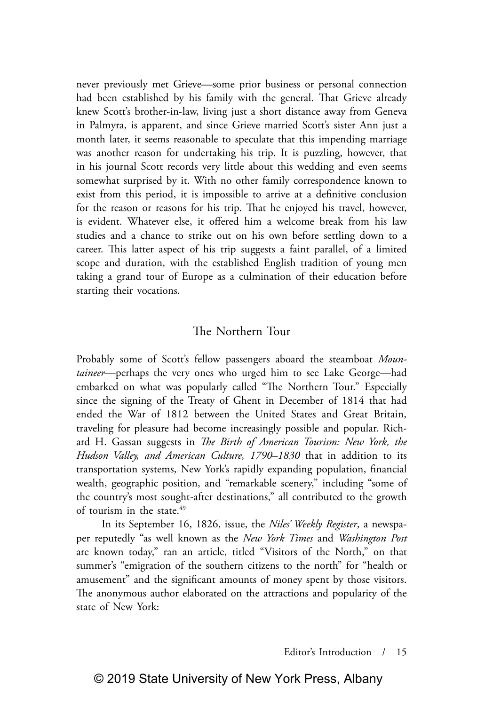never previously met Grieve—some prior business or personal connection had been established by his family with the general. That Grieve already knew Scott's brother-in-law, living just a short distance away from Geneva in Palmyra, is apparent, and since Grieve married Scott's sister Ann just a month later, it seems reasonable to speculate that this impending marriage was another reason for undertaking his trip. It is puzzling, however, that in his journal Scott records very little about this wedding and even seems somewhat surprised by it. With no other family correspondence known to exist from this period, it is impossible to arrive at a definitive conclusion for the reason or reasons for his trip. That he enjoyed his travel, however, is evident. Whatever else, it offered him a welcome break from his law studies and a chance to strike out on his own before settling down to a career. This latter aspect of his trip suggests a faint parallel, of a limited scope and duration, with the established English tradition of young men taking a grand tour of Europe as a culmination of their education before starting their vocations.

# The Northern Tour

Probably some of Scott's fellow passengers aboard the steamboat *Mountaineer*—perhaps the very ones who urged him to see Lake George—had embarked on what was popularly called "The Northern Tour." Especially since the signing of the Treaty of Ghent in December of 1814 that had ended the War of 1812 between the United States and Great Britain, traveling for pleasure had become increasingly possible and popular. Richard H. Gassan suggests in *The Birth of American Tourism: New York, the Hudson Valley, and American Culture, 1790–1830* that in addition to its transportation systems, New York's rapidly expanding population, financial wealth, geographic position, and "remarkable scenery," including "some of the country's most sought-after destinations," all contributed to the growth of tourism in the state.<sup>49</sup>

In its September 16, 1826, issue, the *Niles' Weekly Register*, a newspaper reputedly "as well known as the *New York Times* and *Washington Post* are known today," ran an article, titled "Visitors of the North," on that summer's "emigration of the southern citizens to the north" for "health or amusement" and the significant amounts of money spent by those visitors. The anonymous author elaborated on the attractions and popularity of the state of New York: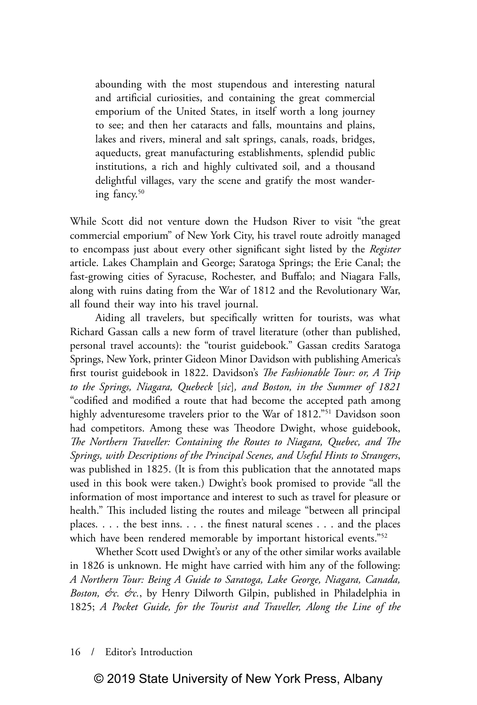abounding with the most stupendous and interesting natural and artificial curiosities, and containing the great commercial emporium of the United States, in itself worth a long journey to see; and then her cataracts and falls, mountains and plains, lakes and rivers, mineral and salt springs, canals, roads, bridges, aqueducts, great manufacturing establishments, splendid public institutions, a rich and highly cultivated soil, and a thousand delightful villages, vary the scene and gratify the most wandering fancy.<sup>50</sup>

While Scott did not venture down the Hudson River to visit "the great commercial emporium" of New York City, his travel route adroitly managed to encompass just about every other significant sight listed by the *Register* article. Lakes Champlain and George; Saratoga Springs; the Erie Canal; the fast-growing cities of Syracuse, Rochester, and Buffalo; and Niagara Falls, along with ruins dating from the War of 1812 and the Revolutionary War, all found their way into his travel journal.

Aiding all travelers, but specifically written for tourists, was what Richard Gassan calls a new form of travel literature (other than published, personal travel accounts): the "tourist guidebook." Gassan credits Saratoga Springs, New York, printer Gideon Minor Davidson with publishing America's first tourist guidebook in 1822. Davidson's *The Fashionable Tour: or, A Trip to the Springs, Niagara, Quebeck* [*sic*]*, and Boston, in the Summer of 1821* "codified and modified a route that had become the accepted path among highly adventuresome travelers prior to the War of 1812."<sup>51</sup> Davidson soon had competitors. Among these was Theodore Dwight, whose guidebook, *The Northern Traveller: Containing the Routes to Niagara, Quebec, and The Springs, with Descriptions of the Principal Scenes, and Useful Hints to Strangers*, was published in 1825. (It is from this publication that the annotated maps used in this book were taken.) Dwight's book promised to provide "all the information of most importance and interest to such as travel for pleasure or health." This included listing the routes and mileage "between all principal places. . . . the best inns. . . . the finest natural scenes . . . and the places which have been rendered memorable by important historical events."<sup>52</sup>

Whether Scott used Dwight's or any of the other similar works available in 1826 is unknown. He might have carried with him any of the following: *A Northern Tour: Being A Guide to Saratoga, Lake George, Niagara, Canada, Boston, &c. &c.*, by Henry Dilworth Gilpin, published in Philadelphia in 1825; *A Pocket Guide, for the Tourist and Traveller, Along the Line of the* 

16 / Editor's Introduction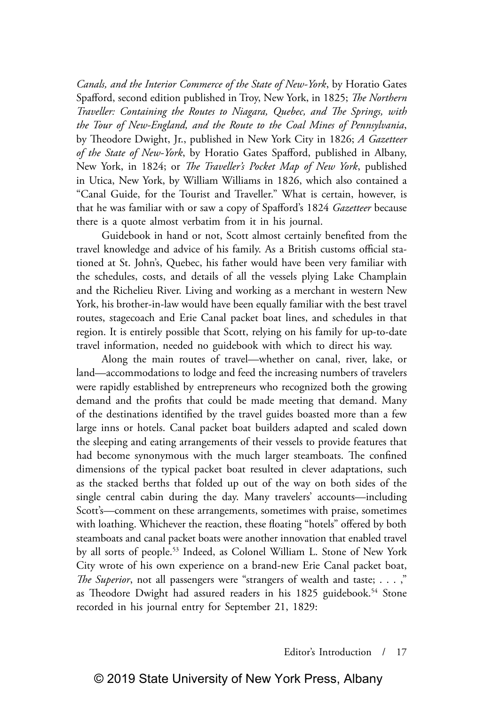*Canals, and the Interior Commerce of the State of New-York*, by Horatio Gates Spafford, second edition published in Troy, New York, in 1825; *The Northern Traveller: Containing the Routes to Niagara, Quebec, and The Springs, with the Tour of New-England, and the Route to the Coal Mines of Pennsylvania*, by Theodore Dwight, Jr., published in New York City in 1826; *A Gazetteer of the State of New-York*, by Horatio Gates Spafford, published in Albany, New York, in 1824; or *The Traveller's Pocket Map of New York*, published in Utica, New York, by William Williams in 1826, which also contained a "Canal Guide, for the Tourist and Traveller." What is certain, however, is that he was familiar with or saw a copy of Spafford's 1824 *Gazetteer* because there is a quote almost verbatim from it in his journal.

Guidebook in hand or not, Scott almost certainly benefited from the travel knowledge and advice of his family. As a British customs official stationed at St. John's, Quebec, his father would have been very familiar with the schedules, costs, and details of all the vessels plying Lake Champlain and the Richelieu River. Living and working as a merchant in western New York, his brother-in-law would have been equally familiar with the best travel routes, stagecoach and Erie Canal packet boat lines, and schedules in that region. It is entirely possible that Scott, relying on his family for up-to-date travel information, needed no guidebook with which to direct his way.

Along the main routes of travel—whether on canal, river, lake, or land—accommodations to lodge and feed the increasing numbers of travelers were rapidly established by entrepreneurs who recognized both the growing demand and the profits that could be made meeting that demand. Many of the destinations identified by the travel guides boasted more than a few large inns or hotels. Canal packet boat builders adapted and scaled down the sleeping and eating arrangements of their vessels to provide features that had become synonymous with the much larger steamboats. The confined dimensions of the typical packet boat resulted in clever adaptations, such as the stacked berths that folded up out of the way on both sides of the single central cabin during the day. Many travelers' accounts—including Scott's—comment on these arrangements, sometimes with praise, sometimes with loathing. Whichever the reaction, these floating "hotels" offered by both steamboats and canal packet boats were another innovation that enabled travel by all sorts of people.<sup>53</sup> Indeed, as Colonel William L. Stone of New York City wrote of his own experience on a brand-new Erie Canal packet boat, *The Superior*, not all passengers were "strangers of wealth and taste; . . . ," as Theodore Dwight had assured readers in his 1825 guidebook.<sup>54</sup> Stone recorded in his journal entry for September 21, 1829: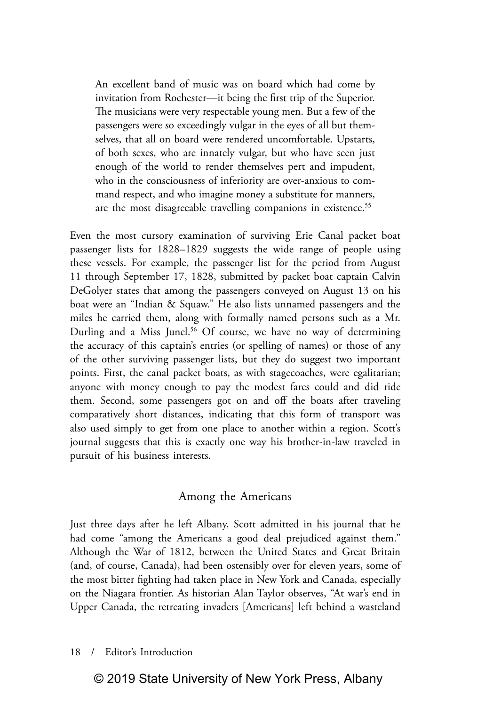An excellent band of music was on board which had come by invitation from Rochester—it being the first trip of the Superior. The musicians were very respectable young men. But a few of the passengers were so exceedingly vulgar in the eyes of all but themselves, that all on board were rendered uncomfortable. Upstarts, of both sexes, who are innately vulgar, but who have seen just enough of the world to render themselves pert and impudent, who in the consciousness of inferiority are over-anxious to command respect, and who imagine money a substitute for manners, are the most disagreeable travelling companions in existence.<sup>55</sup>

Even the most cursory examination of surviving Erie Canal packet boat passenger lists for 1828–1829 suggests the wide range of people using these vessels. For example, the passenger list for the period from August 11 through September 17, 1828, submitted by packet boat captain Calvin DeGolyer states that among the passengers conveyed on August 13 on his boat were an "Indian & Squaw." He also lists unnamed passengers and the miles he carried them, along with formally named persons such as a Mr. Durling and a Miss Junel.<sup>56</sup> Of course, we have no way of determining the accuracy of this captain's entries (or spelling of names) or those of any of the other surviving passenger lists, but they do suggest two important points. First, the canal packet boats, as with stagecoaches, were egalitarian; anyone with money enough to pay the modest fares could and did ride them. Second, some passengers got on and off the boats after traveling comparatively short distances, indicating that this form of transport was also used simply to get from one place to another within a region. Scott's journal suggests that this is exactly one way his brother-in-law traveled in pursuit of his business interests.

## Among the Americans

Just three days after he left Albany, Scott admitted in his journal that he had come "among the Americans a good deal prejudiced against them." Although the War of 1812, between the United States and Great Britain (and, of course, Canada), had been ostensibly over for eleven years, some of the most bitter fighting had taken place in New York and Canada, especially on the Niagara frontier. As historian Alan Taylor observes, "At war's end in Upper Canada, the retreating invaders [Americans] left behind a wasteland

18 / Editor's Introduction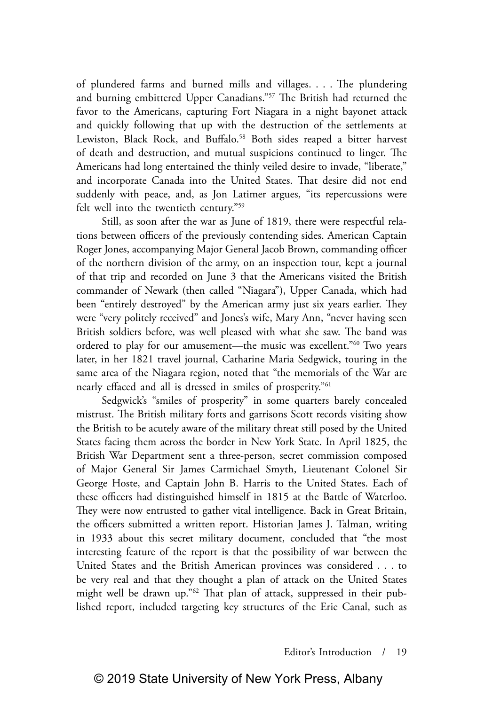of plundered farms and burned mills and villages. . . . The plundering and burning embittered Upper Canadians."57 The British had returned the favor to the Americans, capturing Fort Niagara in a night bayonet attack and quickly following that up with the destruction of the settlements at Lewiston, Black Rock, and Buffalo.<sup>58</sup> Both sides reaped a bitter harvest of death and destruction, and mutual suspicions continued to linger. The Americans had long entertained the thinly veiled desire to invade, "liberate," and incorporate Canada into the United States. That desire did not end suddenly with peace, and, as Jon Latimer argues, "its repercussions were felt well into the twentieth century."59

Still, as soon after the war as June of 1819, there were respectful relations between officers of the previously contending sides. American Captain Roger Jones, accompanying Major General Jacob Brown, commanding officer of the northern division of the army, on an inspection tour, kept a journal of that trip and recorded on June 3 that the Americans visited the British commander of Newark (then called "Niagara"), Upper Canada, which had been "entirely destroyed" by the American army just six years earlier. They were "very politely received" and Jones's wife, Mary Ann, "never having seen British soldiers before, was well pleased with what she saw. The band was ordered to play for our amusement—the music was excellent."60 Two years later, in her 1821 travel journal, Catharine Maria Sedgwick, touring in the same area of the Niagara region, noted that "the memorials of the War are nearly effaced and all is dressed in smiles of prosperity."61

Sedgwick's "smiles of prosperity" in some quarters barely concealed mistrust. The British military forts and garrisons Scott records visiting show the British to be acutely aware of the military threat still posed by the United States facing them across the border in New York State. In April 1825, the British War Department sent a three-person, secret commission composed of Major General Sir James Carmichael Smyth, Lieutenant Colonel Sir George Hoste, and Captain John B. Harris to the United States. Each of these officers had distinguished himself in 1815 at the Battle of Waterloo. They were now entrusted to gather vital intelligence. Back in Great Britain, the officers submitted a written report. Historian James J. Talman, writing in 1933 about this secret military document, concluded that "the most interesting feature of the report is that the possibility of war between the United States and the British American provinces was considered . . . to be very real and that they thought a plan of attack on the United States might well be drawn up."62 That plan of attack, suppressed in their published report, included targeting key structures of the Erie Canal, such as